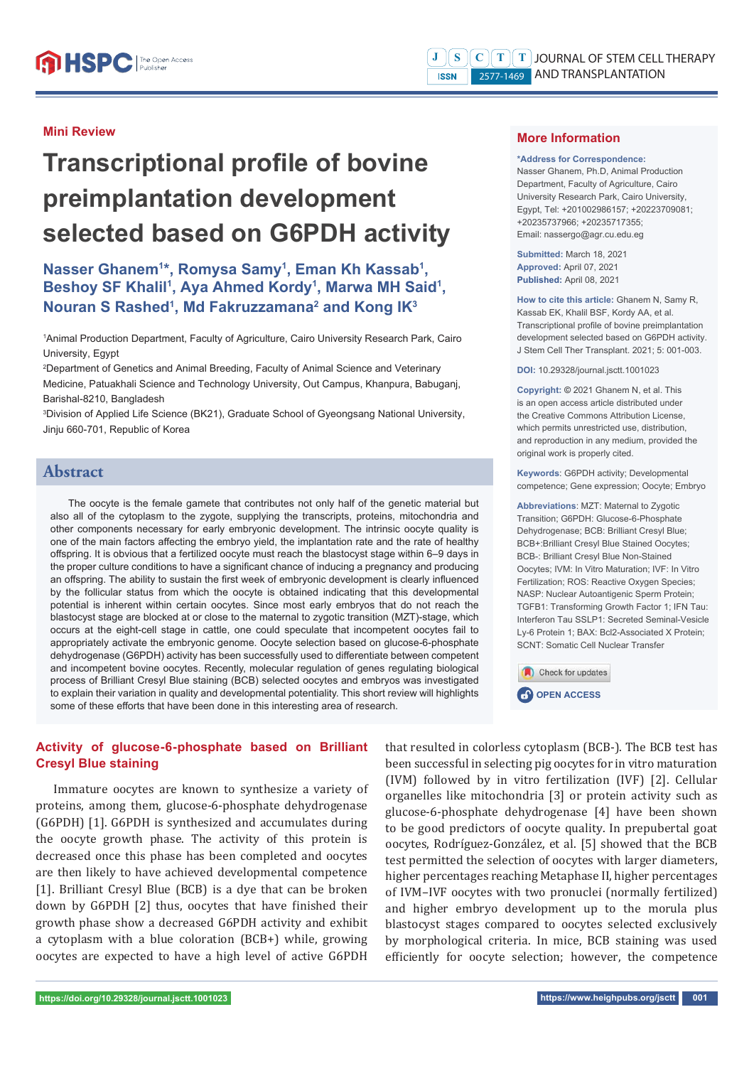#### **Mini Review**

# **Transcriptional profile of bovine preimplantation development selected based on G6PDH activity**

# Nasser Ghanem<sup>1\*</sup>, Romysa Samy<sup>1</sup>, Eman Kh Kassab<sup>1</sup>, Beshoy SF Khalil<sup>1</sup>, Aya Ahmed Kordy<sup>1</sup>, Marwa MH Said<sup>1</sup>, **Nouran S Rashed<sup>1</sup>, Md Fakruzzamana<sup>2</sup> and Kong IK<sup>3</sup>**

1 Animal Production Department, Faculty of Agriculture, Cairo University Research Park, Cairo University, Egypt

2 Department of Genetics and Animal Breeding, Faculty of Animal Science and Veterinary Medicine, Patuakhali Science and Technology University, Out Campus, Khanpura, Babuganj, Barishal-8210, Bangladesh

3 Division of Applied Life Science (BK21), Graduate School of Gyeongsang National University, Jinju 660-701, Republic of Korea

# **Abstract**

The oocyte is the female gamete that contributes not only half of the genetic material but also all of the cytoplasm to the zygote, supplying the transcripts, proteins, mitochondria and other components necessary for early embryonic development. The intrinsic oocyte quality is one of the main factors affecting the embryo yield, the implantation rate and the rate of healthy offspring. It is obvious that a fertilized oocyte must reach the blastocyst stage within 6–9 days in the proper culture conditions to have a significant chance of inducing a pregnancy and producing an offspring. The ability to sustain the first week of embryonic development is clearly influenced by the follicular status from which the oocyte is obtained indicating that this developmental potential is inherent within certain oocytes. Since most early embryos that do not reach the blastocyst stage are blocked at or close to the maternal to zygotic transition (MZT)-stage, which occurs at the eight-cell stage in cattle, one could speculate that incompetent oocytes fail to appropriately activate the embryonic genome. Oocyte selection based on glucose-6-phosphate dehydrogenase (G6PDH) activity has been successfully used to differentiate between competent and incompetent bovine oocytes. Recently, molecular regulation of genes regulating biological process of Brilliant Cresyl Blue staining (BCB) selected oocytes and embryos was investigated to explain their variation in quality and developmental potentiality. This short review will highlights some of these efforts that have been done in this interesting area of research.

## **Activity of glucose-6-phosphate based on Brilliant Cresyl Blue staining**

Immature oocytes are known to synthesize a variety of proteins, among them, glucose-6-phosphate dehydrogenase (G6PDH) [1]. G6PDH is synthesized and accumulates during the oocyte growth phase. The activity of this protein is decreased once this phase has been completed and oocytes are then likely to have achieved developmental competence [1]. Brilliant Cresyl Blue (BCB) is a dye that can be broken down by G6PDH [2] thus, oocytes that have finished their growth phase show a decreased G6PDH activity and exhibit a cytoplasm with a blue coloration (BCB+) while, growing oocytes are expected to have a high level of active G6PDH

that resulted in colorless cytoplasm (BCB-). The BCB test has been successful in selecting pig oocytes for in vitro maturation (IVM) followed by in vitro fertilization (IVF) [2]. Cellular organelles like mitochondria [3] or protein activity such as glucose-6-phosphate dehydrogenase [4] have been shown to be good predictors of oocyte quality. In prepubertal goat oocytes, Rodríguez-González, et al. [5] showed that the BCB test permitted the selection of oocytes with larger diameters, higher percentages reaching Metaphase II, higher percentages of IVM–IVF oocytes with two pronuclei (normally fertilized) and higher embryo development up to the morula plus blastocyst stages compared to oocytes selected exclusively by morphological criteria. In mice, BCB staining was used efficiently for oocyte selection; however, the competence

#### **More Information**

#### **\*Address for Correspondence:**

Nasser Ghanem, Ph.D, Animal Production Department, Faculty of Agriculture, Cairo University Research Park, Cairo University, Egypt, Tel: +201002986157; +20223709081; +20235737966; +20235717355; Email: nassergo@agr.cu.edu.eg

**Submitted:** March 18, 2021 **Approved:** April 07, 2021 **Published:** April 08, 2021

**How to cite this article:** Ghanem N, Samy R, Kassab EK, Khalil BSF, Kordy AA, et al. Transcriptional profile of bovine preimplantation development selected based on G6PDH activity. J Stem Cell Ther Transplant. 2021; 5: 001-003.

**DOI:** 10.29328/journal.jsctt.1001023

**Copyright: ©** 2021 Ghanem N, et al. This is an open access article distributed under the Creative Commons Attribution License, which permits unrestricted use, distribution and reproduction in any medium, provided the original work is properly cited.

**Keywords**: G6PDH activity; Developmental competence; Gene expression; Oocyte; Embryo

**Abbreviations**: MZT: Maternal to Zygotic Transition; G6PDH: Glucose-6-Phosphate Dehydrogenase; BCB: Brilliant Cresyl Blue; BCB+:Brilliant Cresyl Blue Stained Oocytes; BCB-: Brilliant Cresyl Blue Non-Stained Oocytes; IVM: In Vitro Maturation; IVF: In Vitro Fertilization; ROS: Reactive Oxygen Species; NASP: Nuclear Autoantigenic Sperm Protein; TGFB1: Transforming Growth Factor 1; IFN Tau: Interferon Tau SSLP1: Secreted Seminal-Vesicle Ly-6 Protein 1; BAX: Bcl2-Associated X Protein; SCNT: Somatic Cell Nuclear Transfer

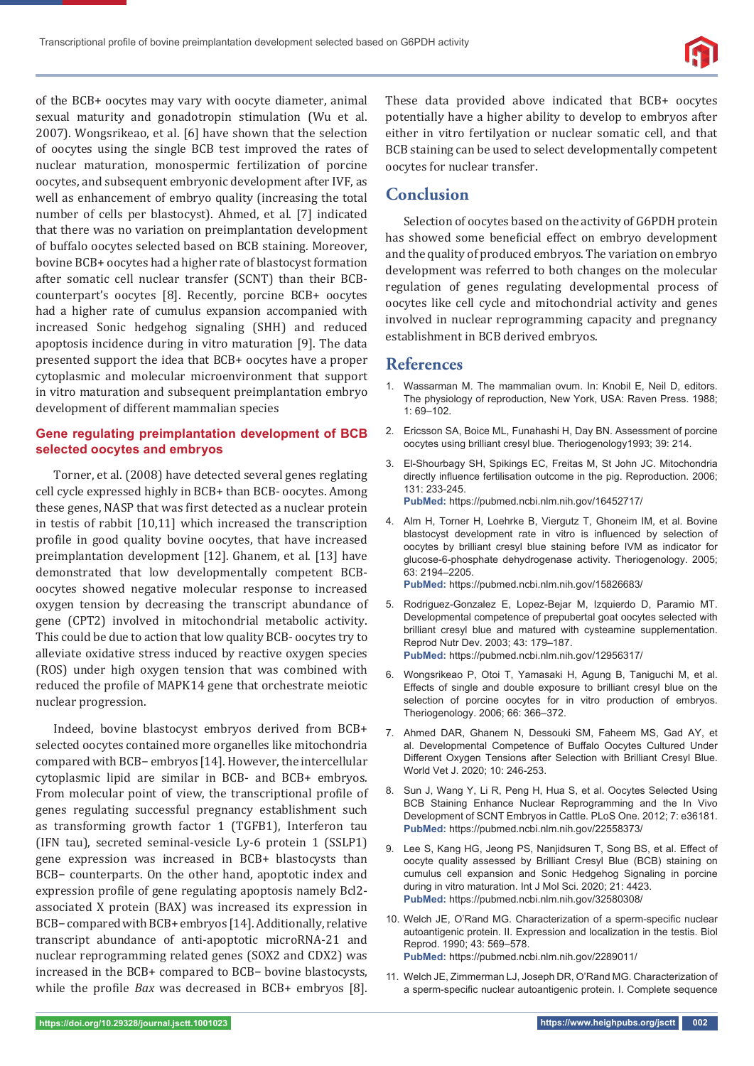

of the BCB+ oocytes may vary with oocyte diameter, animal sexual maturity and gonadotropin stimulation (Wu et al. 2007). Wongsrikeao, et al. [6] have shown that the selection of oocytes using the single BCB test improved the rates of nuclear maturation, monospermic fertilization of porcine oocytes, and subsequent embryonic development after IVF, as well as enhancement of embryo quality (increasing the total number of cells per blastocyst). Ahmed, et al. [7] indicated that there was no variation on preimplantation development of buffalo oocytes selected based on BCB staining. Moreover, bovine BCB+ oocytes had a higher rate of blastocyst formation after somatic cell nuclear transfer (SCNT) than their BCBcounterpart's oocytes [8]. Recently, porcine BCB+ oocytes had a higher rate of cumulus expansion accompanied with increased Sonic hedgehog signaling (SHH) and reduced apoptosis incidence during in vitro maturation [9]. The data presented support the idea that BCB+ oocytes have a proper cytoplasmic and molecular microenvironment that support in vitro maturation and subsequent preimplantation embryo development of different mammalian species

### **Gene regulating preimplantation development of BCB selected oocytes and embryos**

Torner, et al. (2008) have detected several genes reglating cell cycle expressed highly in BCB+ than BCB- oocytes. Among these genes, NASP that was first detected as a nuclear protein in testis of rabbit [10,11] which increased the transcription profile in good quality bovine oocytes, that have increased preimplantation development [12]. Ghanem, et al. [13] have demonstrated that low developmentally competent BCBoocytes showed negative molecular response to increased oxygen tension by decreasing the transcript abundance of gene (CPT2) involved in mitochondrial metabolic activity. This could be due to action that low quality BCB- oocytes try to alleviate oxidative stress induced by reactive oxygen species (ROS) under high oxygen tension that was combined with reduced the profile of MAPK14 gene that orchestrate meiotic nuclear progression.

Indeed, bovine blastocyst embryos derived from BCB+ selected oocytes contained more organelles like mitochondria compared with BCB− embryos [14]. However, the intercellular cytoplasmic lipid are similar in BCB- and BCB+ embryos. From molecular point of view, the transcriptional profile of genes regulating successful pregnancy establishment such as transforming growth factor 1 (TGFB1), Interferon tau (IFN tau), secreted seminal-vesicle Ly-6 protein 1 (SSLP1) gene expression was increased in BCB+ blastocysts than BCB− counterparts. On the other hand, apoptotic index and expression profile of gene regulating apoptosis namely Bcl2associated X protein (BAX) was increased its expression in BCB− compared with BCB+ embryos [14]. Additionally, relative transcript abundance of anti-apoptotic microRNA-21 and nuclear reprogramming related genes (SOX2 and CDX2) was increased in the BCB+ compared to BCB− bovine blastocysts, while the profile *Bax* was decreased in BCB+ embryos [8].

These data provided above indicated that BCB+ oocytes potentially have a higher ability to develop to embryos after either in vitro fertilyation or nuclear somatic cell, and that BCB staining can be used to select developmentally competent oocytes for nuclear transfer.

# **Conclusion**

Selection of oocytes based on the activity of G6PDH protein has showed some beneficial effect on embryo development and the quality of produced embryos. The variation on embryo development was referred to both changes on the molecular regulation of genes regulating developmental process of oocytes like cell cycle and mitochondrial activity and genes involved in nuclear reprogramming capacity and pregnancy establishment in BCB derived embryos.

## **References**

- 1. Wassarman M. The mammalian ovum. In: Knobil E, Neil D, editors. The physiology of reproduction, New York, USA: Raven Press. 1988; 1: 69–102.
- 2. Ericsson SA, Boice ML, Funahashi H, Day BN. Assessment of porcine oocytes using brilliant cresyl blue. Theriogenology1993; 39: 214.
- 3. El-Shourbagy SH, Spikings EC, Freitas M, St John JC. Mitochondria directly influence fertilisation outcome in the pig. Reproduction. 2006; 131: 233-245. **PubMed:** https://pubmed.ncbi.nlm.nih.gov/16452717/
- 4. Alm H, Torner H, Loehrke B, Viergutz T, Ghoneim IM, et al. Bovine blastocyst development rate in vitro is influenced by selection of oocytes by brilliant cresyl blue staining before IVM as indicator for glucose-6-phosphate dehydrogenase activity. Theriogenology. 2005; 63: 2194–2205.

**PubMed:** https://pubmed.ncbi.nlm.nih.gov/15826683/

- 5. Rodriguez-Gonzalez E, Lopez-Bejar M, Izquierdo D, Paramio MT. Developmental competence of prepubertal goat oocytes selected with brilliant cresyl blue and matured with cysteamine supplementation. Reprod Nutr Dev. 2003; 43: 179–187. **PubMed:** https://pubmed.ncbi.nlm.nih.gov/12956317/
- 6. Wongsrikeao P, Otoi T, Yamasaki H, Agung B, Taniguchi M, et al. Effects of single and double exposure to brilliant cresyl blue on the selection of porcine oocytes for in vitro production of embryos. Theriogenology. 2006; 66: 366–372.
- 7. Ahmed DAR, Ghanem N, Dessouki SM, Faheem MS, Gad AY, et al. Developmental Competence of Buffalo Oocytes Cultured Under Different Oxygen Tensions after Selection with Brilliant Cresyl Blue. World Vet J. 2020; 10: 246-253.
- 8. Sun J, Wang Y, Li R, Peng H, Hua S, et al. Oocytes Selected Using BCB Staining Enhance Nuclear Reprogramming and the In Vivo Development of SCNT Embryos in Cattle. PLoS One. 2012; 7: e36181. **PubMed:** https://pubmed.ncbi.nlm.nih.gov/22558373/
- 9. Lee S, Kang HG, Jeong PS, Nanjidsuren T, Song BS, et al. Effect of oocyte quality assessed by Brilliant Cresyl Blue (BCB) staining on cumulus cell expansion and Sonic Hedgehog Signaling in porcine during in vitro maturation. Int J Mol Sci. 2020; 21: 4423. **PubMed:** https://pubmed.ncbi.nlm.nih.gov/32580308/
- 10. Welch JE, O'Rand MG. Characterization of a sperm-specific nuclear autoantigenic protein. II. Expression and localization in the testis. Biol Reprod. 1990; 43: 569–578. **PubMed:** https://pubmed.ncbi.nlm.nih.gov/2289011/
- 11. Welch JE, Zimmerman LJ, Joseph DR, O'Rand MG. Characterization of a sperm-specific nuclear autoantigenic protein. I. Complete sequence